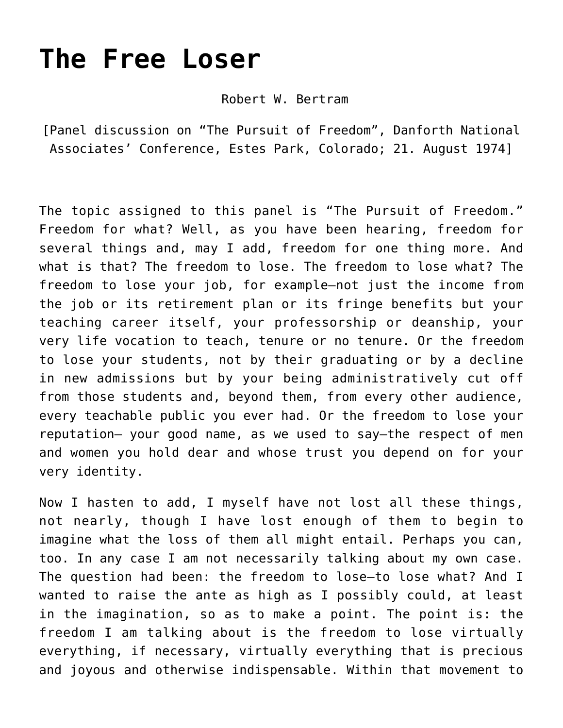## **[The Free Loser](https://crossings.org/the-free-loser/)**

Robert W. Bertram

[Panel discussion on "The Pursuit of Freedom", Danforth National Associates' Conference, Estes Park, Colorado; 21. August 1974]

The topic assigned to this panel is "The Pursuit of Freedom." Freedom for what? Well, as you have been hearing, freedom for several things and, may I add, freedom for one thing more. And what is that? The freedom to lose. The freedom to lose what? The freedom to lose your job, for example—not just the income from the job or its retirement plan or its fringe benefits but your teaching career itself, your professorship or deanship, your very life vocation to teach, tenure or no tenure. Or the freedom to lose your students, not by their graduating or by a decline in new admissions but by your being administratively cut off from those students and, beyond them, from every other audience, every teachable public you ever had. Or the freedom to lose your reputation— your good name, as we used to say—the respect of men and women you hold dear and whose trust you depend on for your very identity.

Now I hasten to add, I myself have not lost all these things, not nearly, though I have lost enough of them to begin to imagine what the loss of them all might entail. Perhaps you can, too. In any case I am not necessarily talking about my own case. The question had been: the freedom to lose—to lose what? And I wanted to raise the ante as high as I possibly could, at least in the imagination, so as to make a point. The point is: the freedom I am talking about is the freedom to lose virtually everything, if necessary, virtually everything that is precious and joyous and otherwise indispensable. Within that movement to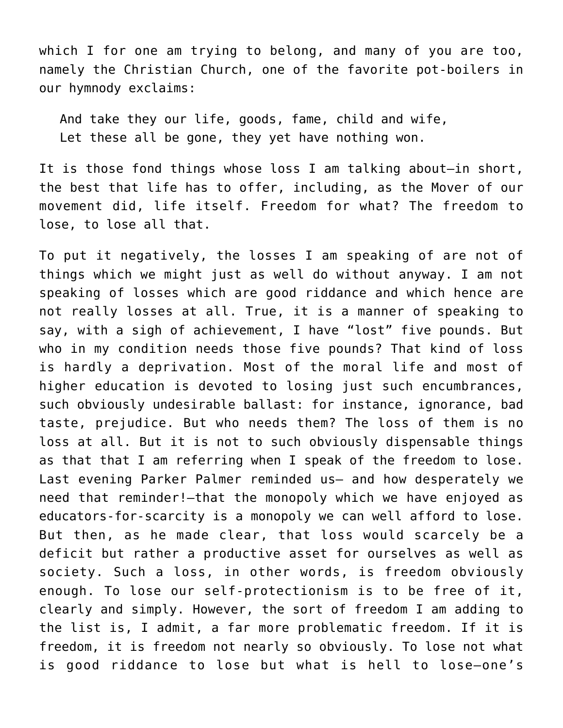which I for one am trying to belong, and many of you are too, namely the Christian Church, one of the favorite pot-boilers in our hymnody exclaims:

And take they our life, goods, fame, child and wife, Let these all be gone, they yet have nothing won.

It is those fond things whose loss I am talking about—in short, the best that life has to offer, including, as the Mover of our movement did, life itself. Freedom for what? The freedom to lose, to lose all that.

To put it negatively, the losses I am speaking of are not of things which we might just as well do without anyway. I am not speaking of losses which are good riddance and which hence are not really losses at all. True, it is a manner of speaking to say, with a sigh of achievement, I have "lost" five pounds. But who in my condition needs those five pounds? That kind of loss is hardly a deprivation. Most of the moral life and most of higher education is devoted to losing just such encumbrances, such obviously undesirable ballast: for instance, ignorance, bad taste, prejudice. But who needs them? The loss of them is no loss at all. But it is not to such obviously dispensable things as that that I am referring when I speak of the freedom to lose. Last evening Parker Palmer reminded us– and how desperately we need that reminder!–that the monopoly which we have enjoyed as educators-for-scarcity is a monopoly we can well afford to lose. But then, as he made clear, that loss would scarcely be a deficit but rather a productive asset for ourselves as well as society. Such a loss, in other words, is freedom obviously enough. To lose our self-protectionism is to be free of it, clearly and simply. However, the sort of freedom I am adding to the list is, I admit, a far more problematic freedom. If it is freedom, it is freedom not nearly so obviously. To lose not what is good riddance to lose but what is hell to lose–one's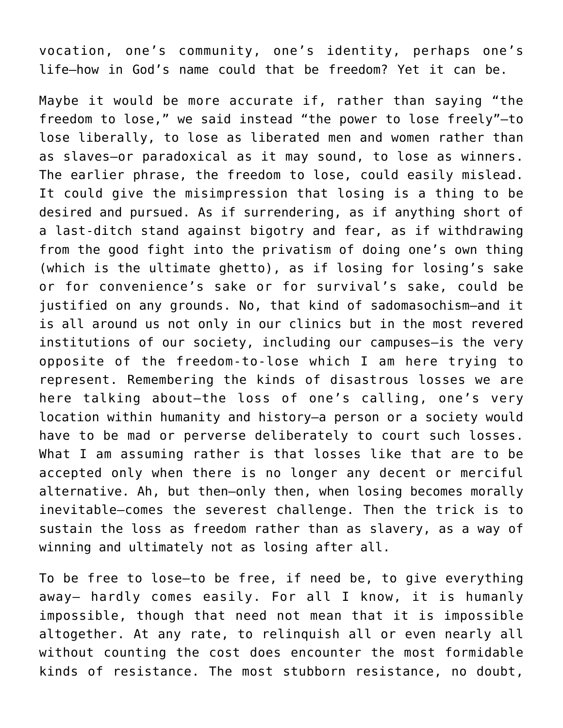vocation, one's community, one's identity, perhaps one's life–how in God's name could that be freedom? Yet it can be.

Maybe it would be more accurate if, rather than saying "the freedom to lose," we said instead "the power to lose freely"–to lose liberally, to lose as liberated men and women rather than as slaves–or paradoxical as it may sound, to lose as winners. The earlier phrase, the freedom to lose, could easily mislead. It could give the misimpression that losing is a thing to be desired and pursued. As if surrendering, as if anything short of a last-ditch stand against bigotry and fear, as if withdrawing from the good fight into the privatism of doing one's own thing (which is the ultimate ghetto), as if losing for losing's sake or for convenience's sake or for survival's sake, could be justified on any grounds. No, that kind of sadomasochism—and it is all around us not only in our clinics but in the most revered institutions of our society, including our campuses—is the very opposite of the freedom-to-lose which I am here trying to represent. Remembering the kinds of disastrous losses we are here talking about—the loss of one's calling, one's very location within humanity and history—a person or a society would have to be mad or perverse deliberately to court such losses. What I am assuming rather is that losses like that are to be accepted only when there is no longer any decent or merciful alternative. Ah, but then–only then, when losing becomes morally inevitable—comes the severest challenge. Then the trick is to sustain the loss as freedom rather than as slavery, as a way of winning and ultimately not as losing after all.

To be free to lose—to be free, if need be, to give everything away— hardly comes easily. For all I know, it is humanly impossible, though that need not mean that it is impossible altogether. At any rate, to relinquish all or even nearly all without counting the cost does encounter the most formidable kinds of resistance. The most stubborn resistance, no doubt,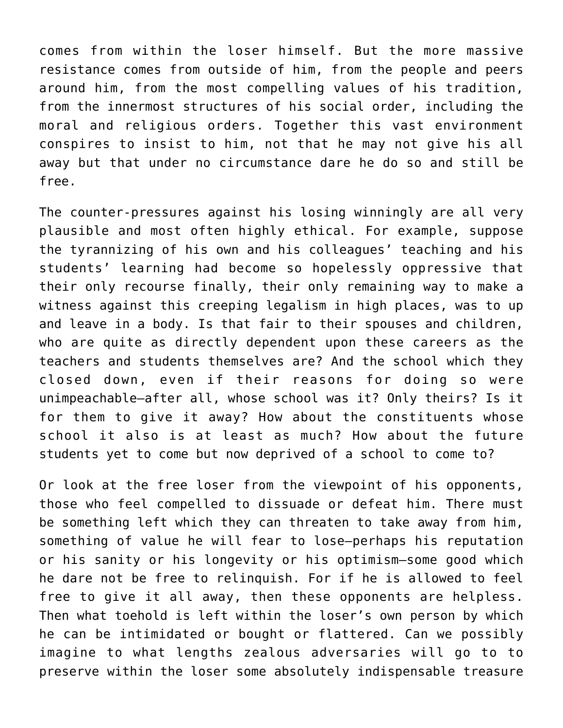comes from within the loser himself. But the more massive resistance comes from outside of him, from the people and peers around him, from the most compelling values of his tradition, from the innermost structures of his social order, including the moral and religious orders. Together this vast environment conspires to insist to him, not that he may not give his all away but that under no circumstance dare he do so and still be free.

The counter-pressures against his losing winningly are all very plausible and most often highly ethical. For example, suppose the tyrannizing of his own and his colleagues' teaching and his students' learning had become so hopelessly oppressive that their only recourse finally, their only remaining way to make a witness against this creeping legalism in high places, was to up and leave in a body. Is that fair to their spouses and children, who are quite as directly dependent upon these careers as the teachers and students themselves are? And the school which they closed down, even if their reasons for doing so were unimpeachable—after all, whose school was it? Only theirs? Is it for them to give it away? How about the constituents whose school it also is at least as much? How about the future students yet to come but now deprived of a school to come to?

Or look at the free loser from the viewpoint of his opponents, those who feel compelled to dissuade or defeat him. There must be something left which they can threaten to take away from him, something of value he will fear to lose–perhaps his reputation or his sanity or his longevity or his optimism—some good which he dare not be free to relinquish. For if he is allowed to feel free to give it all away, then these opponents are helpless. Then what toehold is left within the loser's own person by which he can be intimidated or bought or flattered. Can we possibly imagine to what lengths zealous adversaries will go to to preserve within the loser some absolutely indispensable treasure